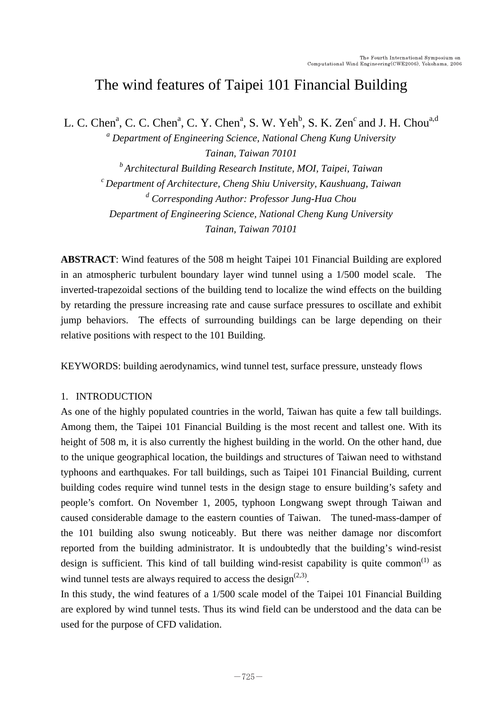# The wind features of Taipei 101 Financial Building

L. C. Chen<sup>a</sup>, C. C. Chen<sup>a</sup>, C. Y. Chen<sup>a</sup>, S. W. Yeh<sup>b</sup>, S. K. Zen<sup>c</sup> and J. H. Chou<sup>a,d</sup>

*a Department of Engineering Science, National Cheng Kung University Tainan, Taiwan 70101* 

*b Architectural Building Research Institute, MOI, Taipei, Taiwan c Department of Architecture, Cheng Shiu University, Kaushuang, Taiwan d Corresponding Author: Professor Jung-Hua Chou Department of Engineering Science, National Cheng Kung University Tainan, Taiwan 70101* 

**ABSTRACT**: Wind features of the 508 m height Taipei 101 Financial Building are explored in an atmospheric turbulent boundary layer wind tunnel using a 1/500 model scale. The inverted-trapezoidal sections of the building tend to localize the wind effects on the building by retarding the pressure increasing rate and cause surface pressures to oscillate and exhibit jump behaviors. The effects of surrounding buildings can be large depending on their relative positions with respect to the 101 Building.

KEYWORDS: building aerodynamics, wind tunnel test, surface pressure, unsteady flows

## 1. INTRODUCTION

As one of the highly populated countries in the world, Taiwan has quite a few tall buildings. Among them, the Taipei 101 Financial Building is the most recent and tallest one. With its height of 508 m, it is also currently the highest building in the world. On the other hand, due to the unique geographical location, the buildings and structures of Taiwan need to withstand typhoons and earthquakes. For tall buildings, such as Taipei 101 Financial Building, current building codes require wind tunnel tests in the design stage to ensure building's safety and people's comfort. On November 1, 2005, typhoon Longwang swept through Taiwan and caused considerable damage to the eastern counties of Taiwan. The tuned-mass-damper of the 101 building also swung noticeably. But there was neither damage nor discomfort reported from the building administrator. It is undoubtedly that the building's wind-resist design is sufficient. This kind of tall building wind-resist capability is quite common<sup> $(1)$ </sup> as wind tunnel tests are always required to access the design<sup> $(2,3)$ </sup>.

In this study, the wind features of a 1/500 scale model of the Taipei 101 Financial Building are explored by wind tunnel tests. Thus its wind field can be understood and the data can be used for the purpose of CFD validation.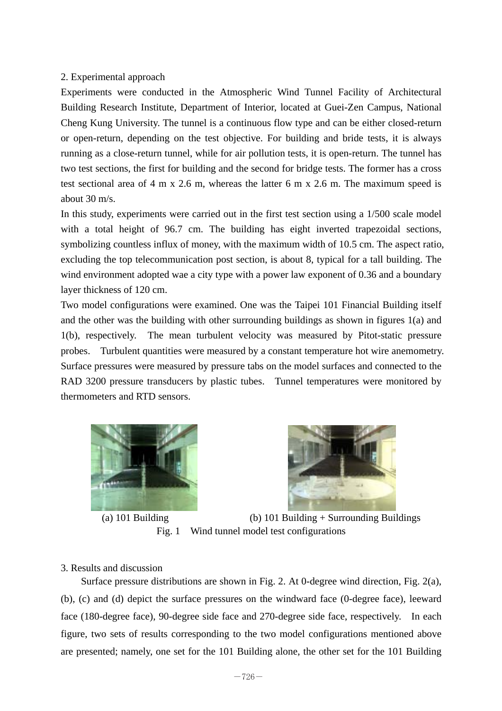## 2. Experimental approach

Experiments were conducted in the Atmospheric Wind Tunnel Facility of Architectural Building Research Institute, Department of Interior, located at Guei-Zen Campus, National Cheng Kung University. The tunnel is a continuous flow type and can be either closed-return or open-return, depending on the test objective. For building and bride tests, it is always running as a close-return tunnel, while for air pollution tests, it is open-return. The tunnel has two test sections, the first for building and the second for bridge tests. The former has a cross test sectional area of 4 m x 2.6 m, whereas the latter 6 m x 2.6 m. The maximum speed is about 30 m/s.

In this study, experiments were carried out in the first test section using a 1/500 scale model with a total height of 96.7 cm. The building has eight inverted trapezoidal sections, symbolizing countless influx of money, with the maximum width of 10.5 cm. The aspect ratio, excluding the top telecommunication post section, is about 8, typical for a tall building. The wind environment adopted wae a city type with a power law exponent of 0.36 and a boundary layer thickness of 120 cm.

Two model configurations were examined. One was the Taipei 101 Financial Building itself and the other was the building with other surrounding buildings as shown in figures 1(a) and 1(b), respectively. The mean turbulent velocity was measured by Pitot-static pressure probes. Turbulent quantities were measured by a constant temperature hot wire anemometry. Surface pressures were measured by pressure tabs on the model surfaces and connected to the RAD 3200 pressure transducers by plastic tubes. Tunnel temperatures were monitored by thermometers and RTD sensors.







 (a) 101 Building (b) 101 Building + Surrounding Buildings Fig. 1 Wind tunnel model test configurations

#### 3. Results and discussion

Surface pressure distributions are shown in Fig. 2. At 0-degree wind direction, Fig. 2(a), (b), (c) and (d) depict the surface pressures on the windward face (0-degree face), leeward face (180-degree face), 90-degree side face and 270-degree side face, respectively. In each figure, two sets of results corresponding to the two model configurations mentioned above are presented; namely, one set for the 101 Building alone, the other set for the 101 Building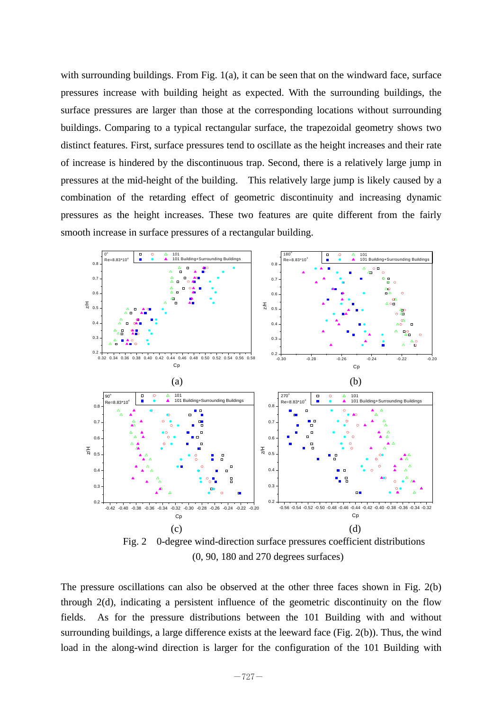with surrounding buildings. From Fig. 1(a), it can be seen that on the windward face, surface pressures increase with building height as expected. With the surrounding buildings, the surface pressures are larger than those at the corresponding locations without surrounding buildings. Comparing to a typical rectangular surface, the trapezoidal geometry shows two distinct features. First, surface pressures tend to oscillate as the height increases and their rate of increase is hindered by the discontinuous trap. Second, there is a relatively large jump in pressures at the mid-height of the building. This relatively large jump is likely caused by a combination of the retarding effect of geometric discontinuity and increasing dynamic pressures as the height increases. These two features are quite different from the fairly smooth increase in surface pressures of a rectangular building.



 Fig. 2 0-degree wind-direction surface pressures coefficient distributions (0, 90, 180 and 270 degrees surfaces)

The pressure oscillations can also be observed at the other three faces shown in Fig. 2(b) through 2(d), indicating a persistent influence of the geometric discontinuity on the flow fields. As for the pressure distributions between the 101 Building with and without surrounding buildings, a large difference exists at the leeward face (Fig. 2(b)). Thus, the wind load in the along-wind direction is larger for the configuration of the 101 Building with